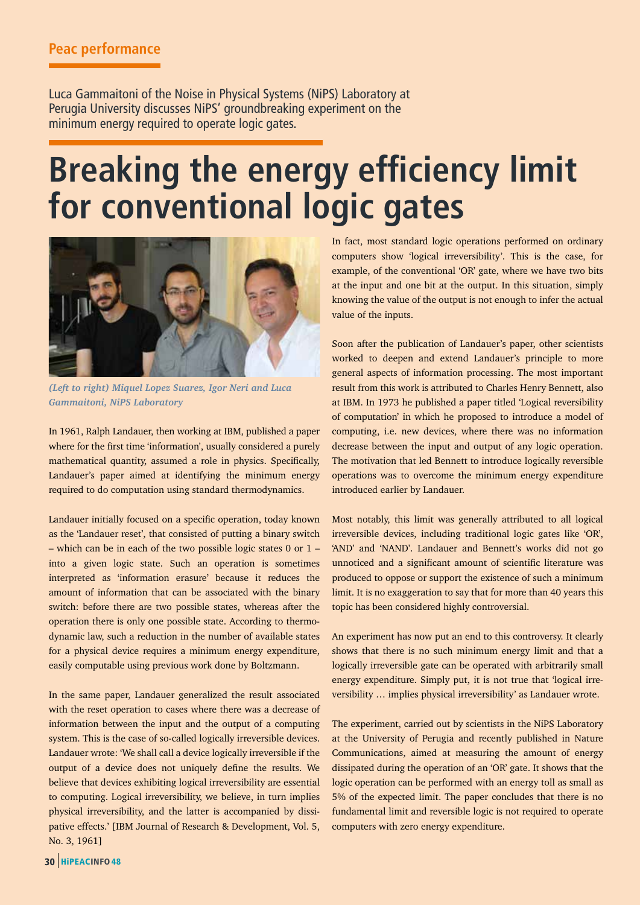Luca Gammaitoni of the Noise in Physical Systems (NiPS) Laboratory at Perugia University discusses NiPS' groundbreaking experiment on the minimum energy required to operate logic gates.

## **Breaking the energy efficiency limit for conventional logic gates**



*(Left to right) Miquel Lopez Suarez, Igor Neri and Luca Gammaitoni, NiPS Laboratory*

In 1961, Ralph Landauer, then working at IBM, published a paper where for the first time 'information', usually considered a purely mathematical quantity, assumed a role in physics. Specifically, Landauer's paper aimed at identifying the minimum energy required to do computation using standard thermodynamics.

Landauer initially focused on a specific operation, today known as the 'Landauer reset', that consisted of putting a binary switch – which can be in each of the two possible logic states 0 or 1 – into a given logic state. Such an operation is sometimes interpreted as 'information erasure' because it reduces the amount of information that can be associated with the binary switch: before there are two possible states, whereas after the operation there is only one possible state. According to thermodynamic law, such a reduction in the number of available states for a physical device requires a minimum energy expenditure, easily computable using previous work done by Boltzmann.

In the same paper, Landauer generalized the result associated with the reset operation to cases where there was a decrease of information between the input and the output of a computing system. This is the case of so-called logically irreversible devices. Landauer wrote: 'We shall call a device logically irreversible if the output of a device does not uniquely define the results. We believe that devices exhibiting logical irreversibility are essential to computing. Logical irreversibility, we believe, in turn implies physical irreversibility, and the latter is accompanied by dissipative effects.' [IBM Journal of Research & Development, Vol. 5, No. 3, 1961]

In fact, most standard logic operations performed on ordinary computers show 'logical irreversibility'. This is the case, for example, of the conventional 'OR' gate, where we have two bits at the input and one bit at the output. In this situation, simply knowing the value of the output is not enough to infer the actual value of the inputs.

Soon after the publication of Landauer's paper, other scientists worked to deepen and extend Landauer's principle to more general aspects of information processing. The most important result from this work is attributed to Charles Henry Bennett, also at IBM. In 1973 he published a paper titled 'Logical reversibility of computation' in which he proposed to introduce a model of computing, i.e. new devices, where there was no information decrease between the input and output of any logic operation. The motivation that led Bennett to introduce logically reversible operations was to overcome the minimum energy expenditure introduced earlier by Landauer.

Most notably, this limit was generally attributed to all logical irreversible devices, including traditional logic gates like 'OR', 'AND' and 'NAND'. Landauer and Bennett's works did not go unnoticed and a significant amount of scientific literature was produced to oppose or support the existence of such a minimum limit. It is no exaggeration to say that for more than 40 years this topic has been considered highly controversial.

An experiment has now put an end to this controversy. It clearly shows that there is no such minimum energy limit and that a logically irreversible gate can be operated with arbitrarily small energy expenditure. Simply put, it is not true that 'logical irreversibility … implies physical irreversibility' as Landauer wrote.

The experiment, carried out by scientists in the NiPS Laboratory at the University of Perugia and recently published in Nature Communications, aimed at measuring the amount of energy dissipated during the operation of an 'OR' gate. It shows that the logic operation can be performed with an energy toll as small as 5% of the expected limit. The paper concludes that there is no fundamental limit and reversible logic is not required to operate computers with zero energy expenditure.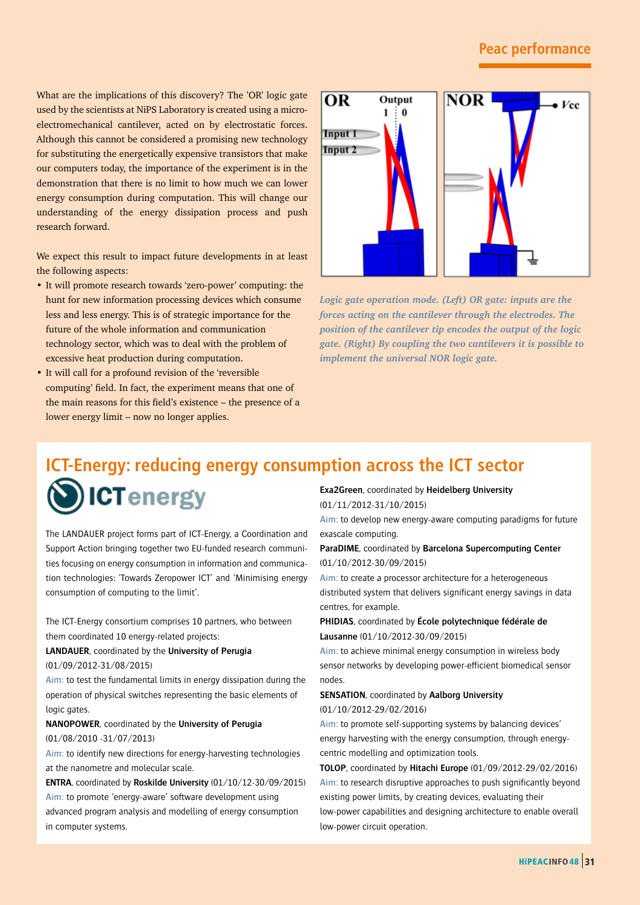What are the implications of this discovery? The 'OR' logic gate used by the scientists at NiPS Laboratory is created using a microelectromechanical cantilever, acted on by electrostatic forces. Although this cannot be considered a promising new technology for substituting the energetically expensive transistors that make our computers today, the importance of the experiment is in the demonstration that there is no limit to how much we can lower energy consumption during computation. This will change our understanding of the energy dissipation process and push research forward.

We expect this result to impact future developments in at least the following aspects:

- It will promote research towards 'zero-power' computing: the hunt for new information processing devices which consume less and less energy. This is of strategic importance for the future of the whole information and communication technology sector, which was to deal with the problem of excessive heat production during computation.
- It will call for a profound revision of the 'reversible computing' field. In fact, the experiment means that one of the main reasons for this field's existence – the presence of a lower energy limit – now no longer applies.



*Logic gate operation mode. (Left) OR gate: inputs are the forces acting on the cantilever through the electrodes. The position of the cantilever tip encodes the output of the logic gate. (Right) By coupling the two cantilevers it is possible to implement the universal NOR logic gate.* 

### **ICT-Energy: reducing energy consumption across the ICT sector ICTenergy Exa2Green**, coordinated by **Heidelberg University** (01/11/2012-31/10/2015)

The LANDAUER project forms part of ICT-Energy, a Coordination and Support Action bringing together two EU-funded research communities focusing on energy consumption in information and communication technologies: 'Towards Zeropower ICT' and 'Minimising energy consumption of computing to the limit'.

The ICT-Energy consortium comprises 10 partners, who between them coordinated 10 energy-related projects:

**LANDAUER**, coordinated by the **University of Perugia** (01/09/2012-31/08/2015)

Aim: to test the fundamental limits in energy dissipation during the operation of physical switches representing the basic elements of logic gates.

#### **NANOPOWER**, coordinated by the **University of Perugia** (01/08/2010 -31/07/2013)

Aim: to identify new directions for energy-harvesting technologies at the nanometre and molecular scale.

**ENTRA**, coordinated by **Roskilde University** (01/10/12-30/09/2015) Aim: to promote 'energy-aware' software development using advanced program analysis and modelling of energy consumption in computer systems.

Aim: to develop new energy-aware computing paradigms for future exascale computing.

**ParaDIME**, coordinated by **Barcelona Supercomputing Center** (01/10/2012-30/09/2015)

Aim: to create a processor architecture for a heterogeneous distributed system that delivers significant energy savings in data centres, for example.

**PHIDIAS**, coordinated by **École polytechnique fédérale de Lausanne** (01/10/2012-30/09/2015)

Aim: to achieve minimal energy consumption in wireless body sensor networks by developing power-efficient biomedical sensor nodes.

#### **SENSATION**, coordinated by **Aalborg University** (01/10/2012-29/02/2016)

Aim: to promote self-supporting systems by balancing devices' energy harvesting with the energy consumption, through energycentric modelling and optimization tools.

**TOLOP**, coordinated by **Hitachi Europe** (01/09/2012-29/02/2016) Aim: to research disruptive approaches to push significantly beyond existing power limits, by creating devices, evaluating their low-power capabilities and designing architecture to enable overall low-power circuit operation.